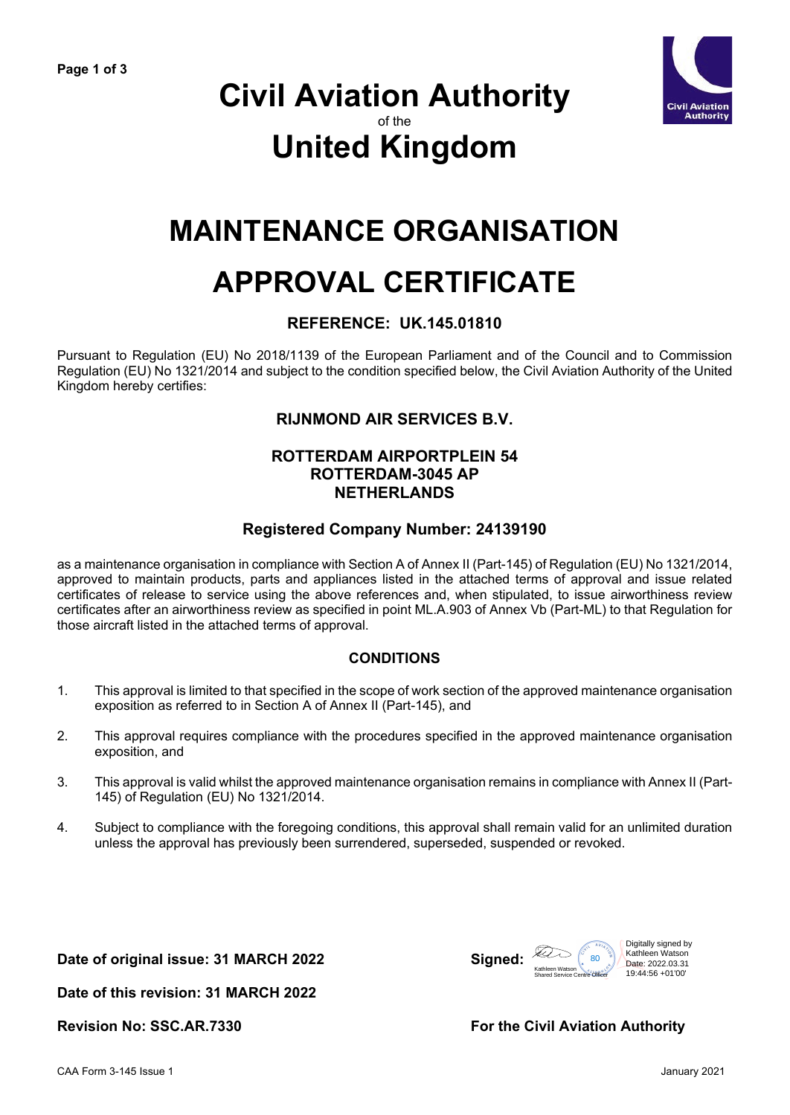

# **Civil Aviation Authority** of the **United Kingdom**

# **MAINTENANCE ORGANISATION**

# **APPROVAL CERTIFICATE**

### **REFERENCE: UK.145.01810**

Pursuant to Regulation (EU) No 2018/1139 of the European Parliament and of the Council and to Commission Regulation (EU) No 1321/2014 and subject to the condition specified below, the Civil Aviation Authority of the United Kingdom hereby certifies:

## **RIJNMOND AIR SERVICES B.V.**

#### **ROTTERDAM AIRPORTPLEIN 54 ROTTERDAM-3045 AP NETHERLANDS**

#### **Registered Company Number: 24139190**

as a maintenance organisation in compliance with Section A of Annex II (Part-145) of Regulation (EU) No 1321/2014, approved to maintain products, parts and appliances listed in the attached terms of approval and issue related certificates of release to service using the above references and, when stipulated, to issue airworthiness review certificates after an airworthiness review as specified in point ML.A.903 of Annex Vb (Part-ML) to that Regulation for those aircraft listed in the attached terms of approval.

### **CONDITIONS**

- 1. This approval is limited to that specified in the scope of work section of the approved maintenance organisation exposition as referred to in Section A of Annex II (Part-145), and
- 2. This approval requires compliance with the procedures specified in the approved maintenance organisation exposition, and
- 3. This approval is valid whilst the approved maintenance organisation remains in compliance with Annex II (Part-145) of Regulation (EU) No 1321/2014.
- 4. Subject to compliance with the foregoing conditions, this approval shall remain valid for an unlimited duration unless the approval has previously been surrendered, superseded, suspended or revoked.

Date of original issue: 31 MARCH 2022



**Date of this revision: 31 MARCH 2022**

**Revision No: SSC.AR.7330 For the Civil Aviation Authority**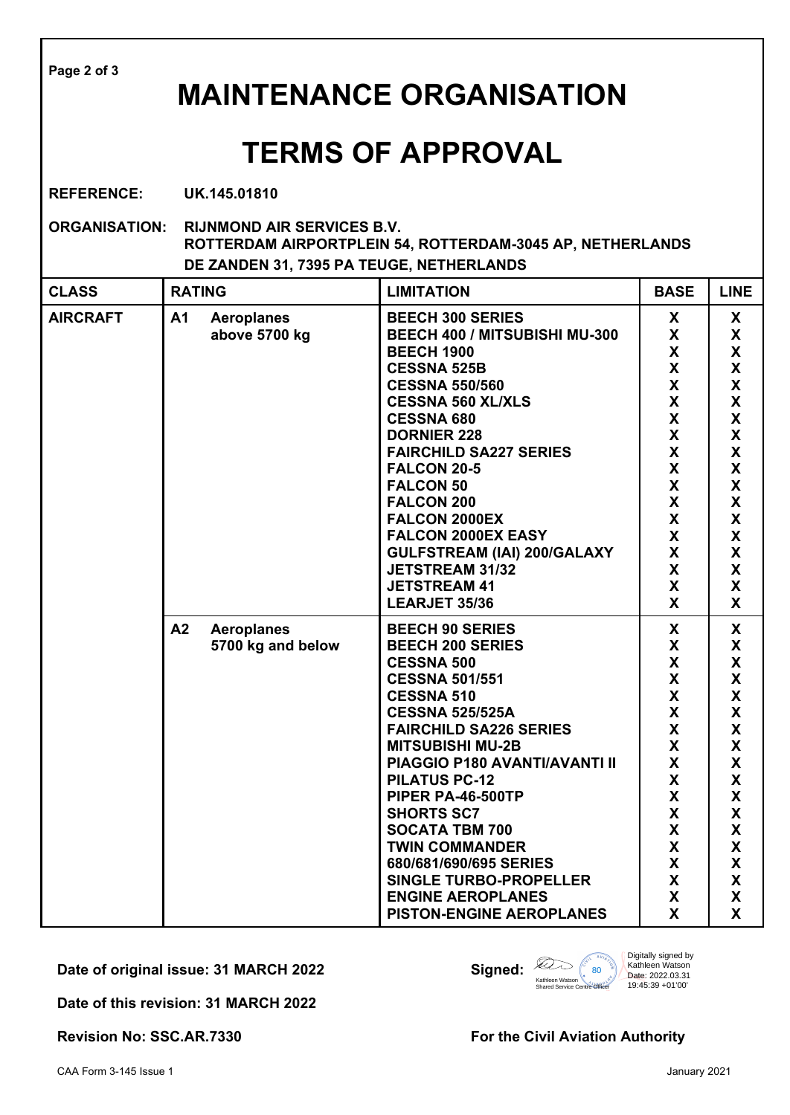| Page 2 of 3<br><b>MAINTENANCE ORGANISATION</b>                                                                                                                     |                                              |                                                                                                                                                                                                                                                                                                                                                                                                                                                                                           |                                                                                                                                                                                                                                        |                                                                                                                                                                                                                                |  |  |  |  |  |
|--------------------------------------------------------------------------------------------------------------------------------------------------------------------|----------------------------------------------|-------------------------------------------------------------------------------------------------------------------------------------------------------------------------------------------------------------------------------------------------------------------------------------------------------------------------------------------------------------------------------------------------------------------------------------------------------------------------------------------|----------------------------------------------------------------------------------------------------------------------------------------------------------------------------------------------------------------------------------------|--------------------------------------------------------------------------------------------------------------------------------------------------------------------------------------------------------------------------------|--|--|--|--|--|
| <b>TERMS OF APPROVAL</b>                                                                                                                                           |                                              |                                                                                                                                                                                                                                                                                                                                                                                                                                                                                           |                                                                                                                                                                                                                                        |                                                                                                                                                                                                                                |  |  |  |  |  |
| <b>REFERENCE:</b><br>UK.145.01810                                                                                                                                  |                                              |                                                                                                                                                                                                                                                                                                                                                                                                                                                                                           |                                                                                                                                                                                                                                        |                                                                                                                                                                                                                                |  |  |  |  |  |
| <b>ORGANISATION:</b><br><b>RIJNMOND AIR SERVICES B.V.</b><br>ROTTERDAM AIRPORTPLEIN 54, ROTTERDAM-3045 AP, NETHERLANDS<br>DE ZANDEN 31, 7395 PA TEUGE, NETHERLANDS |                                              |                                                                                                                                                                                                                                                                                                                                                                                                                                                                                           |                                                                                                                                                                                                                                        |                                                                                                                                                                                                                                |  |  |  |  |  |
| <b>CLASS</b>                                                                                                                                                       | <b>RATING</b>                                | <b>LIMITATION</b>                                                                                                                                                                                                                                                                                                                                                                                                                                                                         | <b>BASE</b>                                                                                                                                                                                                                            | <b>LINE</b>                                                                                                                                                                                                                    |  |  |  |  |  |
| <b>AIRCRAFT</b>                                                                                                                                                    | A1<br><b>Aeroplanes</b><br>above 5700 kg     | <b>BEECH 300 SERIES</b><br>BEECH 400 / MITSUBISHI MU-300<br><b>BEECH 1900</b><br><b>CESSNA 525B</b><br><b>CESSNA 550/560</b><br><b>CESSNA 560 XL/XLS</b><br><b>CESSNA 680</b><br><b>DORNIER 228</b><br><b>FAIRCHILD SA227 SERIES</b><br><b>FALCON 20-5</b><br><b>FALCON 50</b><br><b>FALCON 200</b><br>FALCON 2000EX<br>FALCON 2000EX EASY<br><b>GULFSTREAM (IAI) 200/GALAXY</b><br><b>JETSTREAM 31/32</b><br><b>JETSTREAM 41</b><br>LEARJET 35/36                                        | X<br>X<br>X<br>X<br>X<br>$\boldsymbol{\mathsf{X}}$<br>$\boldsymbol{\mathsf{X}}$<br>$\boldsymbol{\mathsf{X}}$<br>$\boldsymbol{\mathsf{X}}$<br>$\boldsymbol{\mathsf{X}}$<br>X<br>$\boldsymbol{\mathsf{X}}$<br>X<br>X<br>X<br>X<br>X<br>X | X<br>X<br>$\mathsf{X}$<br>$\mathsf{X}$<br>X<br>X<br>$\overline{\mathsf{x}}$<br>X<br>X<br>$\mathsf{X}$<br>$\mathsf{X}$<br>$\mathsf{X}$<br>X<br>X<br>X<br>$\boldsymbol{\mathsf{X}}$<br>$\boldsymbol{\mathsf{X}}$<br>$\mathbf{x}$ |  |  |  |  |  |
|                                                                                                                                                                    | A2<br><b>Aeroplanes</b><br>5700 kg and below | <b>BEECH 90 SERIES</b><br><b>BEECH 200 SERIES</b><br><b>CESSNA 500</b><br><b>CESSNA 501/551</b><br><b>CESSNA 510</b><br><b>CESSNA 525/525A</b><br><b>FAIRCHILD SA226 SERIES</b><br><b>MITSUBISHI MU-2B</b><br>PIAGGIO P180 AVANTI/AVANTI II<br><b>PILATUS PC-12</b><br>PIPER PA-46-500TP<br><b>SHORTS SC7</b><br><b>SOCATA TBM 700</b><br><b>TWIN COMMANDER</b><br>680/681/690/695 SERIES<br><b>SINGLE TURBO-PROPELLER</b><br><b>ENGINE AEROPLANES</b><br><b>PISTON-ENGINE AEROPLANES</b> | X<br>$\checkmark$<br>Y.<br>X<br>X<br>X<br>X<br>X<br>X<br>X<br>X<br>X<br>X<br>$\mathsf{X}$<br>X<br>X<br>X<br>X<br>X                                                                                                                     | X<br>Y<br>X<br>X<br>X<br>X<br>X<br>$\mathsf{X}$<br>$\mathsf{X}$<br>$\mathsf{X}$<br>$\mathsf{X}$<br>$\mathsf{X}$<br>$\mathsf{X}$<br>$\mathsf{X}$<br>$\mathsf{X}$<br>X<br>X<br><b>X</b>                                          |  |  |  |  |  |

**Date of original issue: 31 MARCH 2022 Signed:**



**Date of this revision: 31 MARCH 2022**

Revision No: SSC.AR.7330 **For the Civil Aviation Authority**